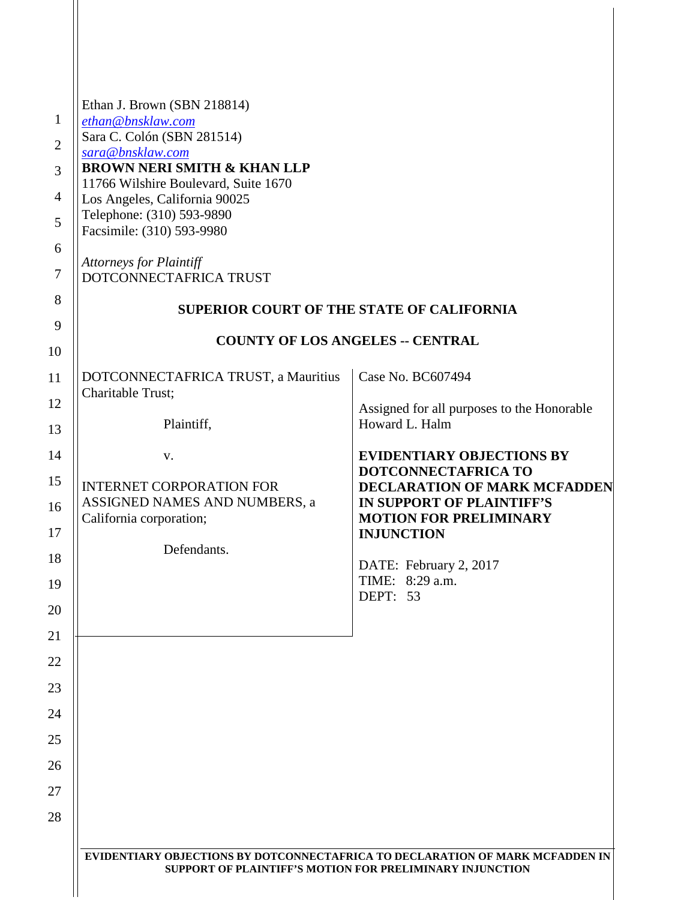| $\mathbf{1}$<br>$\overline{2}$<br>3 | Ethan J. Brown (SBN 218814)<br>ethan@bnsklaw.com<br>Sara C. Colón (SBN 281514)<br>sara@bnsklaw.com<br><b>BROWN NERI SMITH &amp; KHAN LLP</b><br>11766 Wilshire Boulevard, Suite 1670 |                                                                                                   |
|-------------------------------------|--------------------------------------------------------------------------------------------------------------------------------------------------------------------------------------|---------------------------------------------------------------------------------------------------|
| $\overline{4}$<br>5                 | Los Angeles, California 90025<br>Telephone: (310) 593-9890<br>Facsimile: (310) 593-9980                                                                                              |                                                                                                   |
| 6<br>$\tau$                         | <b>Attorneys for Plaintiff</b><br>DOTCONNECTAFRICA TRUST                                                                                                                             |                                                                                                   |
| 8                                   | <b>SUPERIOR COURT OF THE STATE OF CALIFORNIA</b>                                                                                                                                     |                                                                                                   |
| 9<br>10                             | <b>COUNTY OF LOS ANGELES -- CENTRAL</b>                                                                                                                                              |                                                                                                   |
| 11                                  | DOTCONNECTAFRICA TRUST, a Mauritius                                                                                                                                                  | Case No. BC607494                                                                                 |
| 12                                  | Charitable Trust;                                                                                                                                                                    | Assigned for all purposes to the Honorable                                                        |
| 13                                  | Plaintiff,                                                                                                                                                                           | Howard L. Halm                                                                                    |
| 14                                  | V.                                                                                                                                                                                   | <b>EVIDENTIARY OBJECTIONS BY</b><br>DOTCONNECTAFRICA TO                                           |
| 15<br>16                            | <b>INTERNET CORPORATION FOR</b><br>ASSIGNED NAMES AND NUMBERS, a<br>California corporation;                                                                                          | <b>DECLARATION OF MARK MCFADDEN</b><br>IN SUPPORT OF PLAINTIFF'S<br><b>MOTION FOR PRELIMINARY</b> |
| 17<br>18                            | Defendants.                                                                                                                                                                          | <b>INJUNCTION</b>                                                                                 |
| 19                                  |                                                                                                                                                                                      | DATE: February 2, 2017<br>TIME: 8:29 a.m.<br>DEPT: 53                                             |
| 20                                  |                                                                                                                                                                                      |                                                                                                   |
| 21<br>22                            |                                                                                                                                                                                      |                                                                                                   |
| 23                                  |                                                                                                                                                                                      |                                                                                                   |
| 24                                  |                                                                                                                                                                                      |                                                                                                   |
| 25                                  |                                                                                                                                                                                      |                                                                                                   |
| 26                                  |                                                                                                                                                                                      |                                                                                                   |
| 27                                  |                                                                                                                                                                                      |                                                                                                   |
| 28                                  |                                                                                                                                                                                      |                                                                                                   |
|                                     | EVIDENTIARY OBJECTIONS BY DOTCONNECTAFRICA TO DECLARATION OF MARK MCFADDEN IN<br>SUPPORT OF PLAINTIFF'S MOTION FOR PRELIMINARY INJUNCTION                                            |                                                                                                   |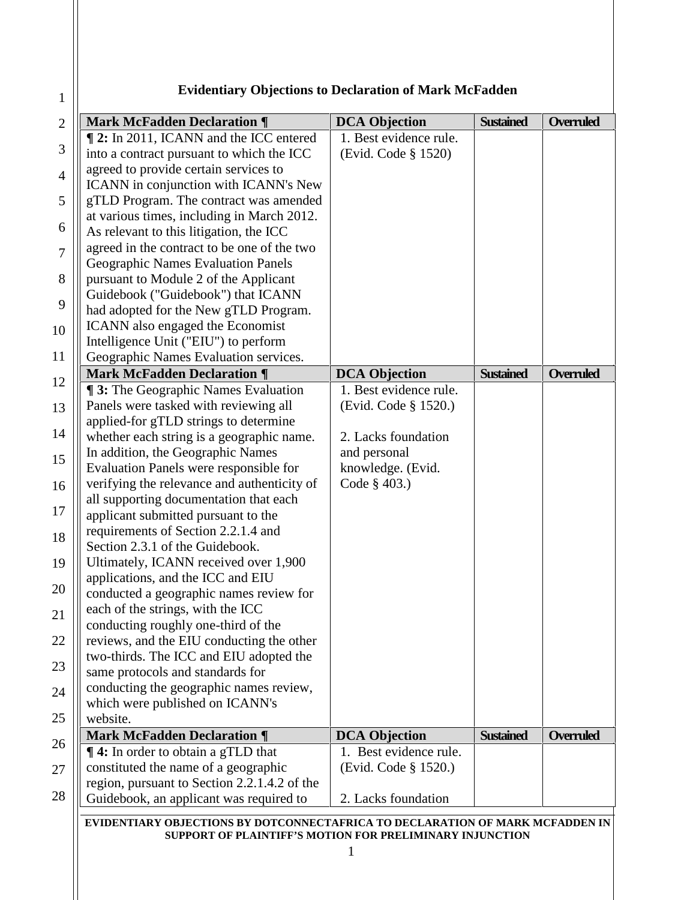## **Evidentiary Objections to Declaration of Mark McFadden**

1

| <b>Mark McFadden Declaration ¶</b>            | <b>DCA Objection</b>   | <b>Sustained</b> | <b>Overruled</b> |
|-----------------------------------------------|------------------------|------------------|------------------|
| <b>12:</b> In 2011, ICANN and the ICC entered | 1. Best evidence rule. |                  |                  |
| into a contract pursuant to which the ICC     | (Evid. Code § 1520)    |                  |                  |
| agreed to provide certain services to         |                        |                  |                  |
| ICANN in conjunction with ICANN's New         |                        |                  |                  |
| gTLD Program. The contract was amended        |                        |                  |                  |
| at various times, including in March 2012.    |                        |                  |                  |
| As relevant to this litigation, the ICC       |                        |                  |                  |
| agreed in the contract to be one of the two   |                        |                  |                  |
| Geographic Names Evaluation Panels            |                        |                  |                  |
| pursuant to Module 2 of the Applicant         |                        |                  |                  |
| Guidebook ("Guidebook") that ICANN            |                        |                  |                  |
| had adopted for the New gTLD Program.         |                        |                  |                  |
| ICANN also engaged the Economist              |                        |                  |                  |
| Intelligence Unit ("EIU") to perform          |                        |                  |                  |
| Geographic Names Evaluation services.         |                        |                  |                  |
| <b>Mark McFadden Declaration ¶</b>            | <b>DCA Objection</b>   | <b>Sustained</b> | Overruled        |
| <b>13:</b> The Geographic Names Evaluation    | 1. Best evidence rule. |                  |                  |
| Panels were tasked with reviewing all         | (Evid. Code § 1520.)   |                  |                  |
| applied-for gTLD strings to determine         |                        |                  |                  |
| whether each string is a geographic name.     | 2. Lacks foundation    |                  |                  |
| In addition, the Geographic Names             | and personal           |                  |                  |
| Evaluation Panels were responsible for        | knowledge. (Evid.      |                  |                  |
| verifying the relevance and authenticity of   | Code § 403.)           |                  |                  |
| all supporting documentation that each        |                        |                  |                  |
| applicant submitted pursuant to the           |                        |                  |                  |
| requirements of Section 2.2.1.4 and           |                        |                  |                  |
| Section 2.3.1 of the Guidebook.               |                        |                  |                  |
| Ultimately, ICANN received over 1,900         |                        |                  |                  |
| applications, and the ICC and EIU             |                        |                  |                  |
| conducted a geographic names review for       |                        |                  |                  |
| each of the strings, with the ICC             |                        |                  |                  |
| conducting roughly one-third of the           |                        |                  |                  |
| reviews, and the EIU conducting the other     |                        |                  |                  |
| two-thirds. The ICC and EIU adopted the       |                        |                  |                  |
| same protocols and standards for              |                        |                  |                  |
| conducting the geographic names review,       |                        |                  |                  |
| which were published on ICANN's               |                        |                  |                  |
| website.                                      |                        |                  |                  |
| <b>Mark McFadden Declaration ¶</b>            | <b>DCA Objection</b>   | <b>Sustained</b> | Overruled        |
| <b>14:</b> In order to obtain a gTLD that     | 1. Best evidence rule. |                  |                  |
| constituted the name of a geographic          | (Evid. Code § 1520.)   |                  |                  |
| region, pursuant to Section 2.2.1.4.2 of the  |                        |                  |                  |
|                                               |                        |                  |                  |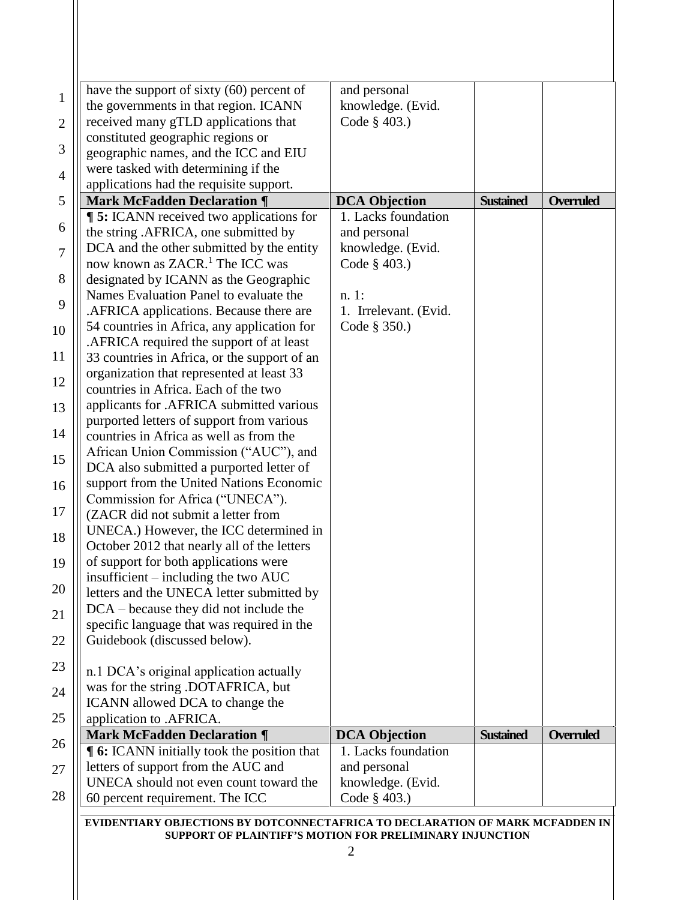| have the support of sixty (60) percent of         | and personal          |                  |                  |
|---------------------------------------------------|-----------------------|------------------|------------------|
| the governments in that region. ICANN             | knowledge. (Evid.     |                  |                  |
| received many gTLD applications that              | Code § 403.)          |                  |                  |
| constituted geographic regions or                 |                       |                  |                  |
| geographic names, and the ICC and EIU             |                       |                  |                  |
| were tasked with determining if the               |                       |                  |                  |
| applications had the requisite support.           |                       |                  |                  |
| <b>Mark McFadden Declaration ¶</b>                | <b>DCA Objection</b>  | <b>Sustained</b> | <b>Overruled</b> |
| <b>15:</b> ICANN received two applications for    | 1. Lacks foundation   |                  |                  |
| the string .AFRICA, one submitted by              | and personal          |                  |                  |
| DCA and the other submitted by the entity         | knowledge. (Evid.     |                  |                  |
| now known as ZACR. <sup>1</sup> The ICC was       | Code § 403.)          |                  |                  |
|                                                   |                       |                  |                  |
| designated by ICANN as the Geographic             |                       |                  |                  |
| Names Evaluation Panel to evaluate the            | $n.1$ :               |                  |                  |
| .AFRICA applications. Because there are           | 1. Irrelevant. (Evid. |                  |                  |
| 54 countries in Africa, any application for       | Code § 350.)          |                  |                  |
| .AFRICA required the support of at least          |                       |                  |                  |
| 33 countries in Africa, or the support of an      |                       |                  |                  |
| organization that represented at least 33         |                       |                  |                  |
| countries in Africa. Each of the two              |                       |                  |                  |
| applicants for .AFRICA submitted various          |                       |                  |                  |
| purported letters of support from various         |                       |                  |                  |
| countries in Africa as well as from the           |                       |                  |                  |
| African Union Commission ("AUC"), and             |                       |                  |                  |
| DCA also submitted a purported letter of          |                       |                  |                  |
| support from the United Nations Economic          |                       |                  |                  |
| Commission for Africa ("UNECA").                  |                       |                  |                  |
| (ZACR did not submit a letter from                |                       |                  |                  |
| UNECA.) However, the ICC determined in            |                       |                  |                  |
| October 2012 that nearly all of the letters       |                       |                  |                  |
| of support for both applications were             |                       |                  |                  |
| insufficient $-$ including the two AUC            |                       |                  |                  |
| letters and the UNECA letter submitted by         |                       |                  |                  |
| $DCA - because they did not include the$          |                       |                  |                  |
| specific language that was required in the        |                       |                  |                  |
| Guidebook (discussed below).                      |                       |                  |                  |
|                                                   |                       |                  |                  |
| n.1 DCA's original application actually           |                       |                  |                  |
| was for the string .DOTAFRICA, but                |                       |                  |                  |
| ICANN allowed DCA to change the                   |                       |                  |                  |
| application to .AFRICA.                           |                       |                  |                  |
| <b>Mark McFadden Declaration ¶</b>                | <b>DCA Objection</b>  | <b>Sustained</b> | <b>Overruled</b> |
| <b>[6:</b> ICANN initially took the position that | 1. Lacks foundation   |                  |                  |
| letters of support from the AUC and               | and personal          |                  |                  |
| UNECA should not even count toward the            | knowledge. (Evid.     |                  |                  |
| 60 percent requirement. The ICC                   | Code § 403.)          |                  |                  |
|                                                   |                       |                  |                  |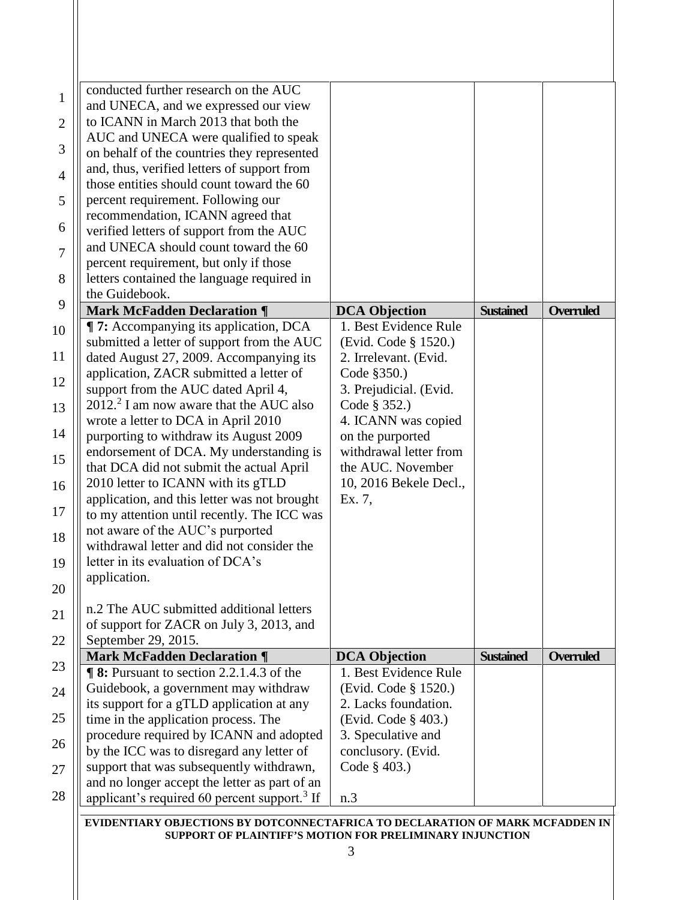| conducted further research on the AUC                    |                        |                  |                  |
|----------------------------------------------------------|------------------------|------------------|------------------|
| and UNECA, and we expressed our view                     |                        |                  |                  |
| to ICANN in March 2013 that both the                     |                        |                  |                  |
| AUC and UNECA were qualified to speak                    |                        |                  |                  |
| on behalf of the countries they represented              |                        |                  |                  |
| and, thus, verified letters of support from              |                        |                  |                  |
| those entities should count toward the 60                |                        |                  |                  |
| percent requirement. Following our                       |                        |                  |                  |
| recommendation, ICANN agreed that                        |                        |                  |                  |
| verified letters of support from the AUC                 |                        |                  |                  |
| and UNECA should count toward the 60                     |                        |                  |                  |
| percent requirement, but only if those                   |                        |                  |                  |
| letters contained the language required in               |                        |                  |                  |
| the Guidebook.                                           |                        |                  |                  |
| <b>Mark McFadden Declaration ¶</b>                       | <b>DCA Objection</b>   | <b>Sustained</b> | <b>Overruled</b> |
| <b>T:</b> Accompanying its application, DCA              | 1. Best Evidence Rule  |                  |                  |
| submitted a letter of support from the AUC               | (Evid. Code § 1520.)   |                  |                  |
| dated August 27, 2009. Accompanying its                  | 2. Irrelevant. (Evid.  |                  |                  |
| application, ZACR submitted a letter of                  | Code §350.)            |                  |                  |
| support from the AUC dated April 4,                      | 3. Prejudicial. (Evid. |                  |                  |
| $20122$ I am now aware that the AUC also                 | Code § 352.)           |                  |                  |
| wrote a letter to DCA in April 2010                      | 4. ICANN was copied    |                  |                  |
| purporting to withdraw its August 2009                   | on the purported       |                  |                  |
| endorsement of DCA. My understanding is                  | withdrawal letter from |                  |                  |
| that DCA did not submit the actual April                 | the AUC. November      |                  |                  |
| 2010 letter to ICANN with its gTLD                       | 10, 2016 Bekele Decl., |                  |                  |
| application, and this letter was not brought             | Ex. 7,                 |                  |                  |
| to my attention until recently. The ICC was              |                        |                  |                  |
| not aware of the AUC's purported                         |                        |                  |                  |
| withdrawal letter and did not consider the               |                        |                  |                  |
| letter in its evaluation of DCA's                        |                        |                  |                  |
| application.                                             |                        |                  |                  |
|                                                          |                        |                  |                  |
| n.2 The AUC submitted additional letters                 |                        |                  |                  |
| of support for ZACR on July 3, 2013, and                 |                        |                  |                  |
| September 29, 2015.                                      |                        |                  |                  |
| <b>Mark McFadden Declaration ¶</b>                       | <b>DCA Objection</b>   | <b>Sustained</b> | <b>Overruled</b> |
| <b>98:</b> Pursuant to section 2.2.1.4.3 of the          | 1. Best Evidence Rule  |                  |                  |
| Guidebook, a government may withdraw                     | (Evid. Code § 1520.)   |                  |                  |
| its support for a gTLD application at any                | 2. Lacks foundation.   |                  |                  |
| time in the application process. The                     | (Evid. Code § 403.)    |                  |                  |
| procedure required by ICANN and adopted                  | 3. Speculative and     |                  |                  |
| by the ICC was to disregard any letter of                | conclusory. (Evid.     |                  |                  |
| support that was subsequently withdrawn,                 | Code § 403.)           |                  |                  |
| and no longer accept the letter as part of an            |                        |                  |                  |
| applicant's required 60 percent support. <sup>3</sup> If |                        |                  |                  |
|                                                          | n.3                    |                  |                  |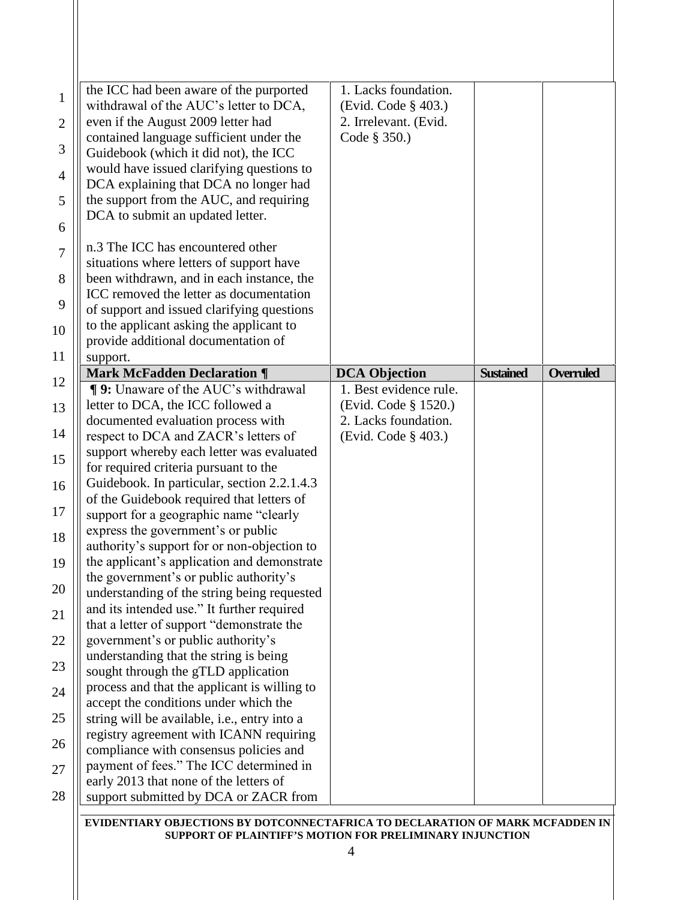| the ICC had been aware of the purported<br>$\mathbf{1}$<br>withdrawal of the AUC's letter to DCA,    | 1. Lacks foundation.<br>(Evid. Code § 403.) |                  |                  |
|------------------------------------------------------------------------------------------------------|---------------------------------------------|------------------|------------------|
| even if the August 2009 letter had<br>$\overline{2}$                                                 | 2. Irrelevant. (Evid.<br>Code § 350.)       |                  |                  |
| contained language sufficient under the<br>3<br>Guidebook (which it did not), the ICC                |                                             |                  |                  |
| would have issued clarifying questions to<br>$\overline{4}$<br>DCA explaining that DCA no longer had |                                             |                  |                  |
| the support from the AUC, and requiring<br>5<br>DCA to submit an updated letter.                     |                                             |                  |                  |
| n.3 The ICC has encountered other                                                                    |                                             |                  |                  |
| situations where letters of support have                                                             |                                             |                  |                  |
| been withdrawn, and in each instance, the<br>8<br>ICC removed the letter as documentation<br>9       |                                             |                  |                  |
| of support and issued clarifying questions<br>to the applicant asking the applicant to<br>10         |                                             |                  |                  |
| provide additional documentation of<br>11<br>support.                                                |                                             |                  |                  |
| <b>Mark McFadden Declaration ¶</b><br>12                                                             | <b>DCA Objection</b>                        | <b>Sustained</b> | <b>Overruled</b> |
| <b>¶ 9:</b> Unaware of the AUC's withdrawal                                                          | 1. Best evidence rule.                      |                  |                  |
| letter to DCA, the ICC followed a                                                                    | (Evid. Code § 1520.)                        |                  |                  |
| documented evaluation process with                                                                   | 2. Lacks foundation.                        |                  |                  |
| respect to DCA and ZACR's letters of                                                                 | (Evid. Code § 403.)                         |                  |                  |
| support whereby each letter was evaluated                                                            |                                             |                  |                  |
| for required criteria pursuant to the<br>Guidebook. In particular, section 2.2.1.4.3                 |                                             |                  |                  |
| of the Guidebook required that letters of<br>support for a geographic name "clearly                  |                                             |                  |                  |
| express the government's or public                                                                   |                                             |                  |                  |
| authority's support for or non-objection to<br>the applicant's application and demonstrate           |                                             |                  |                  |
| 19<br>the government's or public authority's<br>20                                                   |                                             |                  |                  |
| understanding of the string being requested<br>and its intended use." It further required            |                                             |                  |                  |
| that a letter of support "demonstrate the                                                            |                                             |                  |                  |
| government's or public authority's<br>understanding that the string is being                         |                                             |                  |                  |
| sought through the gTLD application<br>process and that the applicant is willing to                  |                                             |                  |                  |
| accept the conditions under which the                                                                |                                             |                  |                  |
| string will be available, i.e., entry into a                                                         |                                             |                  |                  |
| registry agreement with ICANN requiring<br>26<br>compliance with consensus policies and              |                                             |                  |                  |
| payment of fees." The ICC determined in<br>27                                                        |                                             |                  |                  |
| early 2013 that none of the letters of                                                               |                                             |                  |                  |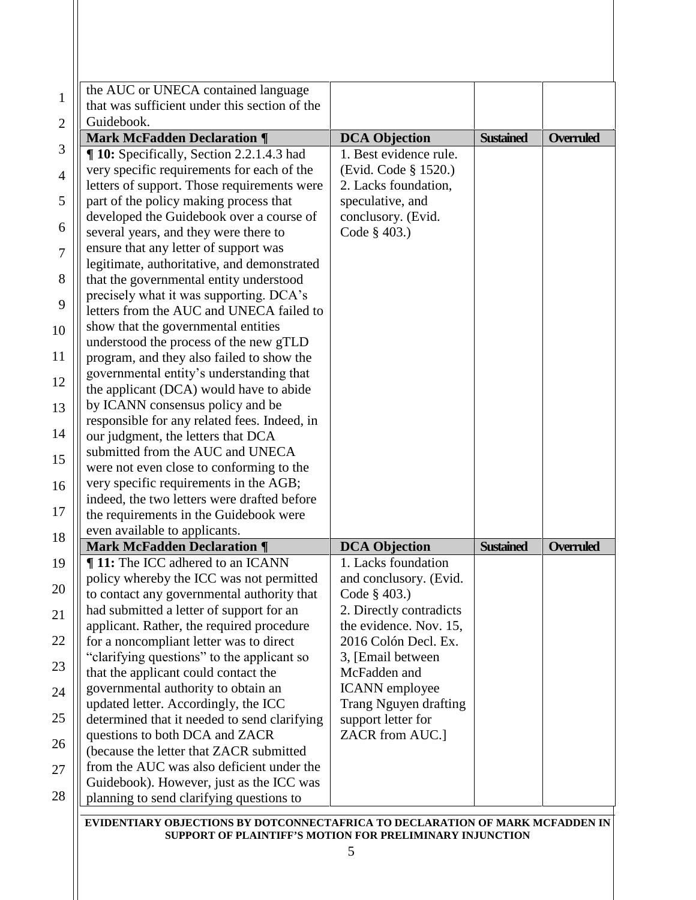| <b>DCA Objection</b><br>1. Best evidence rule.<br>(Evid. Code § 1520.)<br>2. Lacks foundation,<br>speculative, and<br>conclusory. (Evid. | <b>Sustained</b>                                                                                                                                                                                                                                                                                                                                    | <b>Overruled</b> |
|------------------------------------------------------------------------------------------------------------------------------------------|-----------------------------------------------------------------------------------------------------------------------------------------------------------------------------------------------------------------------------------------------------------------------------------------------------------------------------------------------------|------------------|
|                                                                                                                                          |                                                                                                                                                                                                                                                                                                                                                     |                  |
|                                                                                                                                          |                                                                                                                                                                                                                                                                                                                                                     |                  |
|                                                                                                                                          |                                                                                                                                                                                                                                                                                                                                                     |                  |
|                                                                                                                                          |                                                                                                                                                                                                                                                                                                                                                     |                  |
|                                                                                                                                          |                                                                                                                                                                                                                                                                                                                                                     |                  |
|                                                                                                                                          |                                                                                                                                                                                                                                                                                                                                                     |                  |
|                                                                                                                                          |                                                                                                                                                                                                                                                                                                                                                     |                  |
|                                                                                                                                          |                                                                                                                                                                                                                                                                                                                                                     |                  |
|                                                                                                                                          |                                                                                                                                                                                                                                                                                                                                                     |                  |
| Code § 403.)                                                                                                                             |                                                                                                                                                                                                                                                                                                                                                     |                  |
|                                                                                                                                          |                                                                                                                                                                                                                                                                                                                                                     |                  |
|                                                                                                                                          |                                                                                                                                                                                                                                                                                                                                                     |                  |
|                                                                                                                                          |                                                                                                                                                                                                                                                                                                                                                     |                  |
|                                                                                                                                          |                                                                                                                                                                                                                                                                                                                                                     |                  |
|                                                                                                                                          |                                                                                                                                                                                                                                                                                                                                                     |                  |
|                                                                                                                                          |                                                                                                                                                                                                                                                                                                                                                     |                  |
|                                                                                                                                          |                                                                                                                                                                                                                                                                                                                                                     |                  |
|                                                                                                                                          |                                                                                                                                                                                                                                                                                                                                                     |                  |
|                                                                                                                                          |                                                                                                                                                                                                                                                                                                                                                     |                  |
|                                                                                                                                          |                                                                                                                                                                                                                                                                                                                                                     |                  |
|                                                                                                                                          |                                                                                                                                                                                                                                                                                                                                                     |                  |
|                                                                                                                                          |                                                                                                                                                                                                                                                                                                                                                     |                  |
|                                                                                                                                          |                                                                                                                                                                                                                                                                                                                                                     |                  |
|                                                                                                                                          |                                                                                                                                                                                                                                                                                                                                                     |                  |
|                                                                                                                                          |                                                                                                                                                                                                                                                                                                                                                     |                  |
|                                                                                                                                          |                                                                                                                                                                                                                                                                                                                                                     |                  |
|                                                                                                                                          |                                                                                                                                                                                                                                                                                                                                                     |                  |
|                                                                                                                                          |                                                                                                                                                                                                                                                                                                                                                     |                  |
|                                                                                                                                          |                                                                                                                                                                                                                                                                                                                                                     | <b>Overruled</b> |
|                                                                                                                                          |                                                                                                                                                                                                                                                                                                                                                     |                  |
|                                                                                                                                          |                                                                                                                                                                                                                                                                                                                                                     |                  |
|                                                                                                                                          |                                                                                                                                                                                                                                                                                                                                                     |                  |
|                                                                                                                                          |                                                                                                                                                                                                                                                                                                                                                     |                  |
|                                                                                                                                          |                                                                                                                                                                                                                                                                                                                                                     |                  |
|                                                                                                                                          |                                                                                                                                                                                                                                                                                                                                                     |                  |
|                                                                                                                                          |                                                                                                                                                                                                                                                                                                                                                     |                  |
|                                                                                                                                          |                                                                                                                                                                                                                                                                                                                                                     |                  |
|                                                                                                                                          |                                                                                                                                                                                                                                                                                                                                                     |                  |
|                                                                                                                                          |                                                                                                                                                                                                                                                                                                                                                     |                  |
|                                                                                                                                          |                                                                                                                                                                                                                                                                                                                                                     |                  |
|                                                                                                                                          |                                                                                                                                                                                                                                                                                                                                                     |                  |
|                                                                                                                                          |                                                                                                                                                                                                                                                                                                                                                     |                  |
|                                                                                                                                          |                                                                                                                                                                                                                                                                                                                                                     |                  |
|                                                                                                                                          |                                                                                                                                                                                                                                                                                                                                                     |                  |
| letters from the AUC and UNECA failed to                                                                                                 | <b>DCA Objection</b><br>1. Lacks foundation<br>and conclusory. (Evid.<br>Code § 403.)<br>2. Directly contradicts<br>the evidence. Nov. 15,<br>2016 Colón Decl. Ex.<br>3, [Email between]<br>McFadden and<br><b>ICANN</b> employee<br>Trang Nguyen drafting<br>determined that it needed to send clarifying<br>support letter for<br>ZACR from AUC.] | <b>Sustained</b> |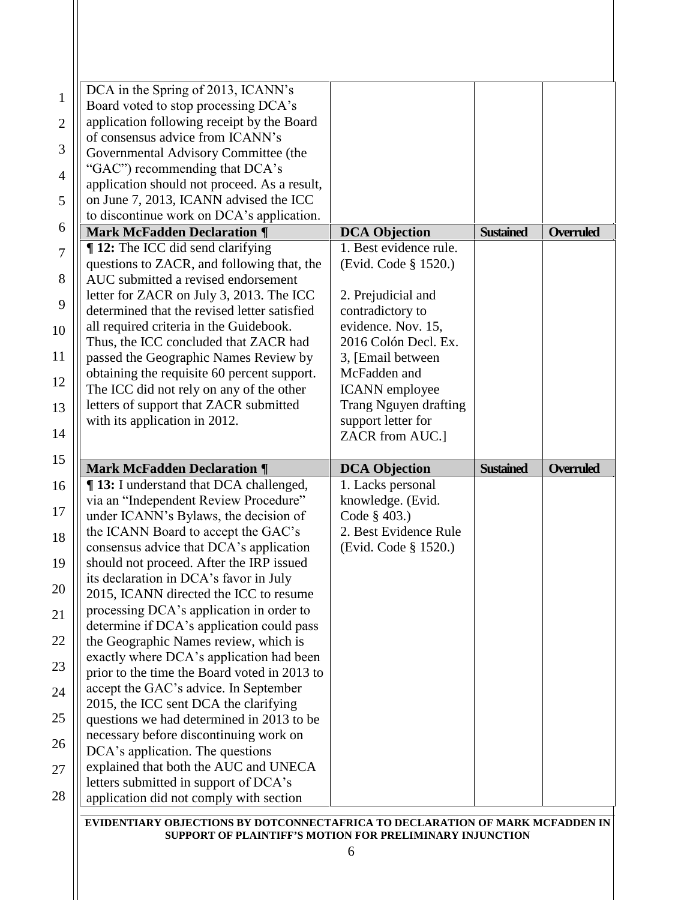| DCA in the Spring of 2013, ICANN's                                               |                        |                  |                  |
|----------------------------------------------------------------------------------|------------------------|------------------|------------------|
| Board voted to stop processing DCA's                                             |                        |                  |                  |
| application following receipt by the Board                                       |                        |                  |                  |
| of consensus advice from ICANN's                                                 |                        |                  |                  |
| Governmental Advisory Committee (the                                             |                        |                  |                  |
| "GAC") recommending that DCA's                                                   |                        |                  |                  |
| application should not proceed. As a result,                                     |                        |                  |                  |
| on June 7, 2013, ICANN advised the ICC                                           |                        |                  |                  |
| to discontinue work on DCA's application.                                        |                        |                  |                  |
| <b>Mark McFadden Declaration ¶</b>                                               | <b>DCA Objection</b>   | <b>Sustained</b> | Overruled        |
| <b>12:</b> The ICC did send clarifying                                           | 1. Best evidence rule. |                  |                  |
| questions to ZACR, and following that, the                                       | (Evid. Code § 1520.)   |                  |                  |
| AUC submitted a revised endorsement                                              |                        |                  |                  |
| letter for ZACR on July 3, 2013. The ICC                                         | 2. Prejudicial and     |                  |                  |
| determined that the revised letter satisfied                                     | contradictory to       |                  |                  |
| all required criteria in the Guidebook.                                          | evidence. Nov. 15,     |                  |                  |
| Thus, the ICC concluded that ZACR had                                            | 2016 Colón Decl. Ex.   |                  |                  |
| passed the Geographic Names Review by                                            | 3, [Email between]     |                  |                  |
| obtaining the requisite 60 percent support.                                      | McFadden and           |                  |                  |
| The ICC did not rely on any of the other                                         | <b>ICANN</b> employee  |                  |                  |
| letters of support that ZACR submitted                                           | Trang Nguyen drafting  |                  |                  |
| with its application in 2012.                                                    | support letter for     |                  |                  |
|                                                                                  | ZACR from AUC.]        |                  |                  |
| <b>Mark McFadden Declaration ¶</b>                                               | <b>DCA Objection</b>   | <b>Sustained</b> | <b>Overruled</b> |
| <b>¶13:</b> I understand that DCA challenged,                                    | 1. Lacks personal      |                  |                  |
| via an "Independent Review Procedure"                                            | knowledge. (Evid.      |                  |                  |
| under ICANN's Bylaws, the decision of                                            | Code § 403.)           |                  |                  |
| the ICANN Board to accept the GAC's                                              | 2. Best Evidence Rule  |                  |                  |
| consensus advice that DCA's application                                          | (Evid. Code § 1520.)   |                  |                  |
| should not proceed. After the IRP issued                                         |                        |                  |                  |
|                                                                                  |                        |                  |                  |
|                                                                                  |                        |                  |                  |
| its declaration in DCA's favor in July<br>2015, ICANN directed the ICC to resume |                        |                  |                  |
| processing DCA's application in order to                                         |                        |                  |                  |
| determine if DCA's application could pass                                        |                        |                  |                  |
| the Geographic Names review, which is                                            |                        |                  |                  |
| exactly where DCA's application had been                                         |                        |                  |                  |
| prior to the time the Board voted in 2013 to                                     |                        |                  |                  |
| accept the GAC's advice. In September                                            |                        |                  |                  |
| 2015, the ICC sent DCA the clarifying                                            |                        |                  |                  |
| questions we had determined in 2013 to be                                        |                        |                  |                  |
| necessary before discontinuing work on                                           |                        |                  |                  |
| DCA's application. The questions                                                 |                        |                  |                  |
| explained that both the AUC and UNECA                                            |                        |                  |                  |
| letters submitted in support of DCA's<br>application did not comply with section |                        |                  |                  |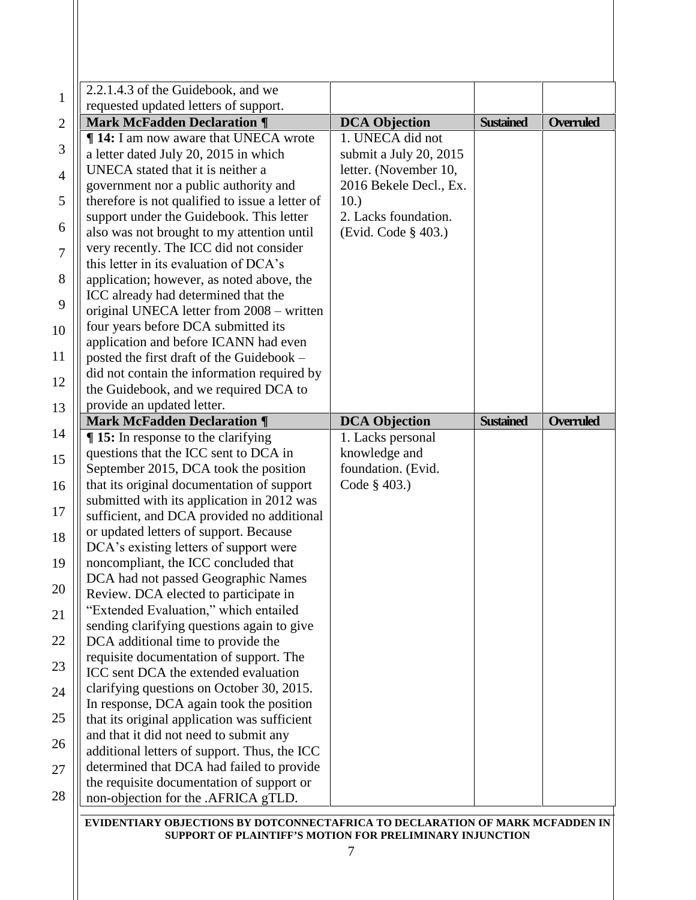| 2.2.1.4.3 of the Guidebook, and we                                                                                           |                                    |                  |                  |
|------------------------------------------------------------------------------------------------------------------------------|------------------------------------|------------------|------------------|
| requested updated letters of support.                                                                                        |                                    |                  |                  |
| <b>Mark McFadden Declaration ¶</b>                                                                                           | <b>DCA Objection</b>               | <b>Sustained</b> | <b>Overruled</b> |
| <b>14:</b> I am now aware that UNECA wrote                                                                                   | 1. UNECA did not                   |                  |                  |
| a letter dated July 20, 2015 in which                                                                                        | submit a July 20, 2015             |                  |                  |
| UNECA stated that it is neither a                                                                                            | letter. (November 10,              |                  |                  |
| government nor a public authority and                                                                                        | 2016 Bekele Decl., Ex.             |                  |                  |
| therefore is not qualified to issue a letter of                                                                              | 10.)                               |                  |                  |
| support under the Guidebook. This letter                                                                                     | 2. Lacks foundation.               |                  |                  |
| also was not brought to my attention until                                                                                   | (Evid. Code § 403.)                |                  |                  |
| very recently. The ICC did not consider                                                                                      |                                    |                  |                  |
| this letter in its evaluation of DCA's                                                                                       |                                    |                  |                  |
| application; however, as noted above, the                                                                                    |                                    |                  |                  |
| ICC already had determined that the                                                                                          |                                    |                  |                  |
| original UNECA letter from 2008 – written                                                                                    |                                    |                  |                  |
| four years before DCA submitted its                                                                                          |                                    |                  |                  |
| application and before ICANN had even                                                                                        |                                    |                  |                  |
| posted the first draft of the Guidebook -                                                                                    |                                    |                  |                  |
| did not contain the information required by                                                                                  |                                    |                  |                  |
| the Guidebook, and we required DCA to                                                                                        |                                    |                  |                  |
| provide an updated letter.<br><b>Mark McFadden Declaration ¶</b>                                                             |                                    | <b>Sustained</b> | <b>Overruled</b> |
| $\P$ 15: In response to the clarifying                                                                                       | <b>DCA Objection</b>               |                  |                  |
| questions that the ICC sent to DCA in                                                                                        | 1. Lacks personal<br>knowledge and |                  |                  |
| September 2015, DCA took the position                                                                                        | foundation. (Evid.                 |                  |                  |
| that its original documentation of support                                                                                   | Code § 403.)                       |                  |                  |
| submitted with its application in 2012 was                                                                                   |                                    |                  |                  |
| sufficient, and DCA provided no additional                                                                                   |                                    |                  |                  |
| or updated letters of support. Because                                                                                       |                                    |                  |                  |
| DCA's existing letters of support were                                                                                       |                                    |                  |                  |
| noncompliant, the ICC concluded that                                                                                         |                                    |                  |                  |
| DCA had not passed Geographic Names                                                                                          |                                    |                  |                  |
|                                                                                                                              |                                    |                  |                  |
|                                                                                                                              |                                    |                  |                  |
| Review. DCA elected to participate in                                                                                        |                                    |                  |                  |
| "Extended Evaluation," which entailed                                                                                        |                                    |                  |                  |
| sending clarifying questions again to give                                                                                   |                                    |                  |                  |
| DCA additional time to provide the                                                                                           |                                    |                  |                  |
|                                                                                                                              |                                    |                  |                  |
|                                                                                                                              |                                    |                  |                  |
| requisite documentation of support. The<br>ICC sent DCA the extended evaluation<br>clarifying questions on October 30, 2015. |                                    |                  |                  |
| In response, DCA again took the position                                                                                     |                                    |                  |                  |
| that its original application was sufficient                                                                                 |                                    |                  |                  |
| and that it did not need to submit any                                                                                       |                                    |                  |                  |
| additional letters of support. Thus, the ICC                                                                                 |                                    |                  |                  |
| determined that DCA had failed to provide<br>the requisite documentation of support or                                       |                                    |                  |                  |

**SUPPORT OF PLAINTIFF'S MOTION FOR PRELIMINARY INJUNCTION**